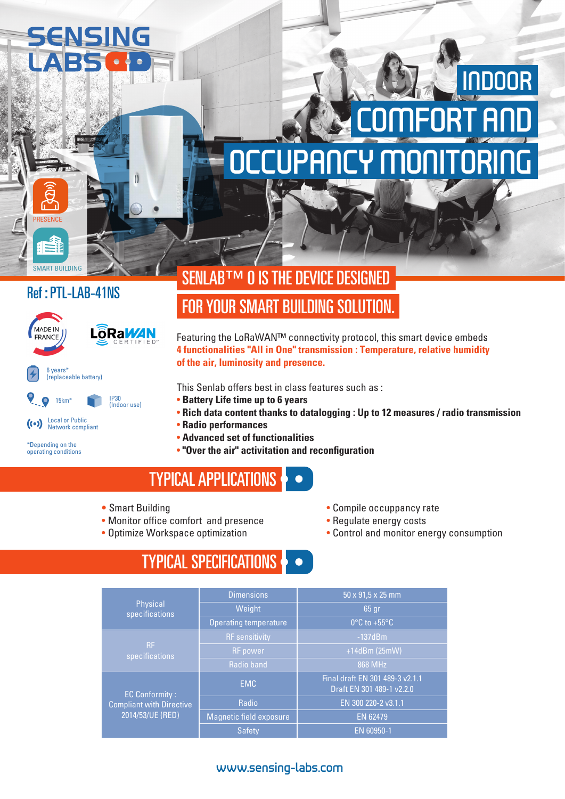# SENSING

## 'NRING COMFORT AND INDOOR

#### Ref : PTL-LAB-41NS

SMART BUILDING

PRESENCE



\*Depending on the operating conditions

## SENLAB™ O IS THE DEVICE DESIGNED FOR YOUR SMART BUILDING SOLUTION.

Featuring the LoRaWAN™ connectivity protocol, this smart device embeds **4 functionalities "All in One" transmission : Temperature, relative humidity of the air, luminosity and presence.**

This Senlab offers best in class features such as :

- **Battery Life time up to 6 years**
- **Rich data content thanks to datalogging : Up to 12 measures / radio transmission**
- **Radio performances**
- **Advanced set of functionalities**
- **"Over the air" activitation and reconfiguration**

## TYPICAL APPLICATIONS

**•** Smart Building

 $\mathbf{I}$ 

- Monitor office comfort and presence
- Optimize Workspace optimization
- Compile occuppancy rate
- Regulate energy costs
- Control and monitor energy consumption

## TYPICAL SPECIFICATIONS

|                                                                              | <b>Dimensions</b>            | $50 \times 91.5 \times 25$ mm                                |  |  |
|------------------------------------------------------------------------------|------------------------------|--------------------------------------------------------------|--|--|
| Physical<br>specifications                                                   | Weight                       | $65$ gr                                                      |  |  |
|                                                                              | <b>Operating temperature</b> | $0^{\circ}$ C to +55 $^{\circ}$ C                            |  |  |
| <b>RF</b><br>specifications                                                  | <b>RF</b> sensitivity        | $-137dBm$                                                    |  |  |
|                                                                              | <b>RF</b> power              | +14dBm (25mW)                                                |  |  |
|                                                                              | Radio band                   | 868 MHz                                                      |  |  |
| <b>EC Conformity:</b><br><b>Compliant with Directive</b><br>2014/53/UE (RED) | <b>EMC</b>                   | Final draft EN 301 489-3 v2.1.1<br>Draft EN 301 489-1 v2.2.0 |  |  |
|                                                                              | Radio                        | EN 300 220-2 v3.1.1                                          |  |  |
|                                                                              | Magnetic field exposure      | <b>EN 62479</b>                                              |  |  |
|                                                                              | <b>Safety</b>                | EN 60950-1                                                   |  |  |

#### www.sensing-labs.com